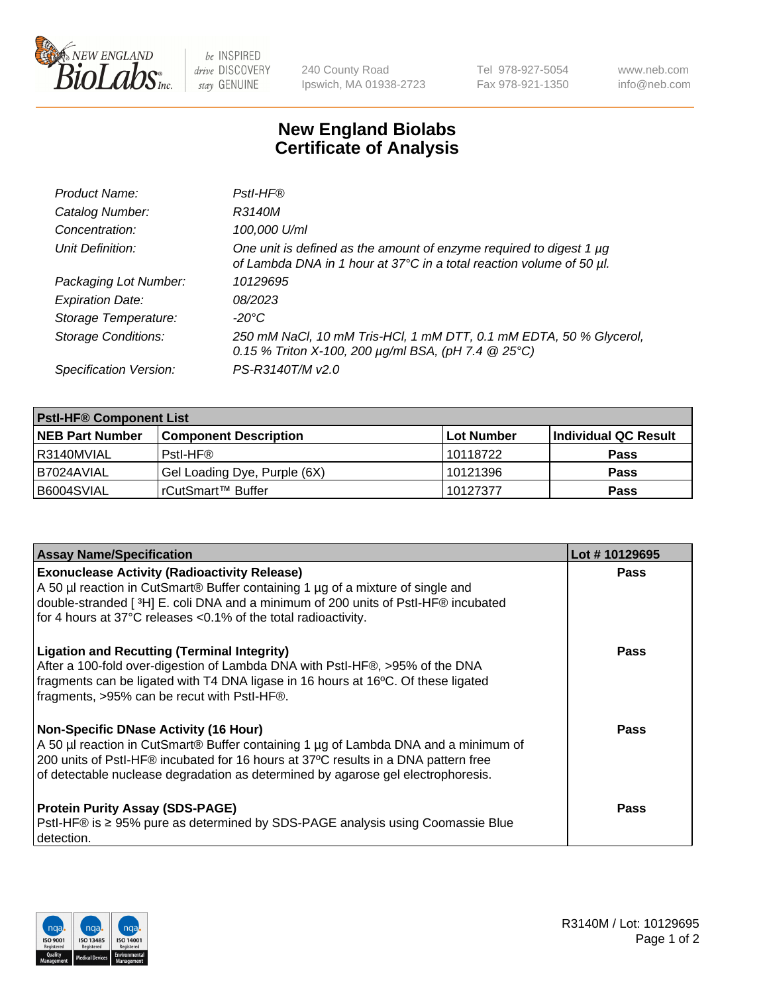

 $be$  INSPIRED drive DISCOVERY stay GENUINE

240 County Road Ipswich, MA 01938-2723 Tel 978-927-5054 Fax 978-921-1350 www.neb.com info@neb.com

## **New England Biolabs Certificate of Analysis**

| Product Name:              | Pstl-HF®                                                                                                                                             |
|----------------------------|------------------------------------------------------------------------------------------------------------------------------------------------------|
| Catalog Number:            | R3140M                                                                                                                                               |
| Concentration:             | 100,000 U/ml                                                                                                                                         |
| Unit Definition:           | One unit is defined as the amount of enzyme required to digest 1 µg<br>of Lambda DNA in 1 hour at 37°C in a total reaction volume of 50 µl.          |
| Packaging Lot Number:      | 10129695                                                                                                                                             |
| <b>Expiration Date:</b>    | 08/2023                                                                                                                                              |
| Storage Temperature:       | $-20^{\circ}$ C                                                                                                                                      |
| <b>Storage Conditions:</b> | 250 mM NaCl, 10 mM Tris-HCl, 1 mM DTT, 0.1 mM EDTA, 50 % Glycerol,<br>0.15 % Triton X-100, 200 $\mu$ g/ml BSA, (pH 7.4 $\textcircled{25}^{\circ}$ C) |
| Specification Version:     | PS-R3140T/M v2.0                                                                                                                                     |

| <b>PstI-HF® Component List</b> |                              |            |                      |  |
|--------------------------------|------------------------------|------------|----------------------|--|
| <b>NEB Part Number</b>         | <b>Component Description</b> | Lot Number | Individual QC Result |  |
| I R3140MVIAL                   | Pstl-HF®                     | 10118722   | <b>Pass</b>          |  |
| I B7024AVIAL                   | Gel Loading Dye, Purple (6X) | 10121396   | <b>Pass</b>          |  |
| B6004SVIAL                     | rCutSmart™ Buffer            | 10127377   | <b>Pass</b>          |  |

| <b>Assay Name/Specification</b>                                                                                                                                                                                                                                                                               | Lot #10129695 |
|---------------------------------------------------------------------------------------------------------------------------------------------------------------------------------------------------------------------------------------------------------------------------------------------------------------|---------------|
| <b>Exonuclease Activity (Radioactivity Release)</b><br>A 50 µl reaction in CutSmart® Buffer containing 1 µg of a mixture of single and                                                                                                                                                                        | <b>Pass</b>   |
| double-stranded [3H] E. coli DNA and a minimum of 200 units of PstI-HF® incubated<br>for 4 hours at 37°C releases <0.1% of the total radioactivity.                                                                                                                                                           |               |
| <b>Ligation and Recutting (Terminal Integrity)</b><br>After a 100-fold over-digestion of Lambda DNA with PstI-HF®, >95% of the DNA<br>fragments can be ligated with T4 DNA ligase in 16 hours at 16°C. Of these ligated<br>fragments, >95% can be recut with PstI-HF®.                                        | <b>Pass</b>   |
| <b>Non-Specific DNase Activity (16 Hour)</b><br>A 50 µl reaction in CutSmart® Buffer containing 1 µg of Lambda DNA and a minimum of<br>200 units of Pstl-HF® incubated for 16 hours at 37°C results in a DNA pattern free<br>of detectable nuclease degradation as determined by agarose gel electrophoresis. | Pass          |
| <b>Protein Purity Assay (SDS-PAGE)</b><br>PstI-HF® is ≥ 95% pure as determined by SDS-PAGE analysis using Coomassie Blue<br>detection.                                                                                                                                                                        | <b>Pass</b>   |